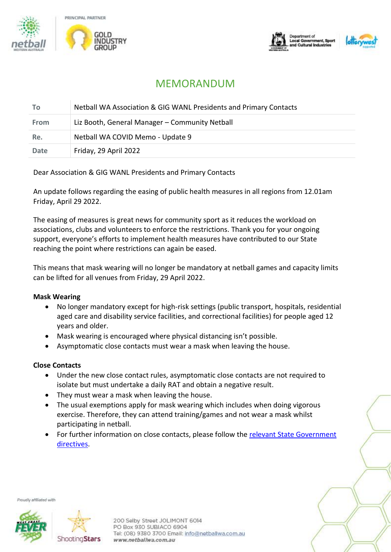





# MEMORANDUM

| Τo          | Netball WA Association & GIG WANL Presidents and Primary Contacts |
|-------------|-------------------------------------------------------------------|
| <b>From</b> | Liz Booth, General Manager - Community Netball                    |
| Re.         | Netball WA COVID Memo - Update 9                                  |
| <b>Date</b> | Friday, 29 April 2022                                             |

# Dear Association & GIG WANL Presidents and Primary Contacts

An update follows regarding the easing of public health measures in all regions from 12.01am Friday, April 29 2022.

The easing of measures is great news for community sport as it reduces the workload on associations, clubs and volunteers to enforce the restrictions. Thank you for your ongoing support, everyone's efforts to implement health measures have contributed to our State reaching the point where restrictions can again be eased.

This means that mask wearing will no longer be mandatory at netball games and capacity limits can be lifted for all venues from Friday, 29 April 2022.

## **Mask Wearing**

- No longer mandatory except for high-risk settings (public transport, hospitals, residential aged care and disability service facilities, and correctional facilities) for people aged 12 years and older.
- Mask wearing is encouraged where physical distancing isn't possible.
- Asymptomatic close contacts must wear a mask when leaving the house.

## **Close Contacts**

- Under the new close contact rules, asymptomatic close contacts are not required to isolate but must undertake a daily RAT and obtain a negative result.
- They must wear a mask when leaving the house.
- The usual exemptions apply for mask wearing which includes when doing vigorous exercise. Therefore, they can attend training/games and not wear a mask whilst participating in netball.
- For further information on close contacts, please follow the relevant State Government [directives.](https://www.wa.gov.au/government/document-collections/covid-19-coronavirus-what-do-if-you-have-covid-19-or-are-close-contact)

Proudly affiliated with



200 Selby Street JOLIMONT 6014 PO Box 930 SUBIACO 6904 Tel: (08) 9380 3700 Email: info@netballwa.com.au www.netballwa.com.au